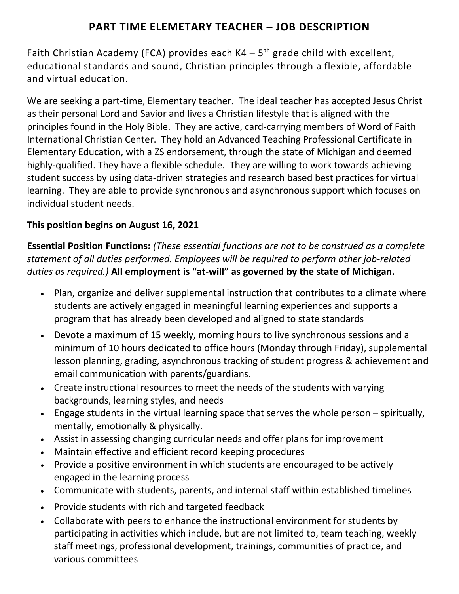# **PART TIME ELEMETARY TEACHER – JOB DESCRIPTION**

Faith Christian Academy (FCA) provides each  $K4 - 5$ <sup>th</sup> grade child with excellent, educational standards and sound, Christian principles through a flexible, affordable and virtual education.

We are seeking a part-time, Elementary teacher. The ideal teacher has accepted Jesus Christ as their personal Lord and Savior and lives a Christian lifestyle that is aligned with the principles found in the Holy Bible. They are active, card-carrying members of Word of Faith International Christian Center. They hold an Advanced Teaching Professional Certificate in Elementary Education, with a ZS endorsement, through the state of Michigan and deemed highly-qualified. They have a flexible schedule. They are willing to work towards achieving student success by using data-driven strategies and research based best practices for virtual learning. They are able to provide synchronous and asynchronous support which focuses on individual student needs.

## **This position begins on August 16, 2021**

**Essential Position Functions:** *(These essential functions are not to be construed as a complete statement of all duties performed. Employees will be required to perform other job-related duties as required.)* **All employment is "at-will" as governed by the state of Michigan.**

- Plan, organize and deliver supplemental instruction that contributes to a climate where students are actively engaged in meaningful learning experiences and supports a program that has already been developed and aligned to state standards
- Devote a maximum of 15 weekly, morning hours to live synchronous sessions and a minimum of 10 hours dedicated to office hours (Monday through Friday), supplemental lesson planning, grading, asynchronous tracking of student progress & achievement and email communication with parents/guardians.
- Create instructional resources to meet the needs of the students with varying backgrounds, learning styles, and needs
- Engage students in the virtual learning space that serves the whole person spiritually, mentally, emotionally & physically.
- Assist in assessing changing curricular needs and offer plans for improvement
- Maintain effective and efficient record keeping procedures
- Provide a positive environment in which students are encouraged to be actively engaged in the learning process
- Communicate with students, parents, and internal staff within established timelines
- Provide students with rich and targeted feedback
- Collaborate with peers to enhance the instructional environment for students by participating in activities which include, but are not limited to, team teaching, weekly staff meetings, professional development, trainings, communities of practice, and various committees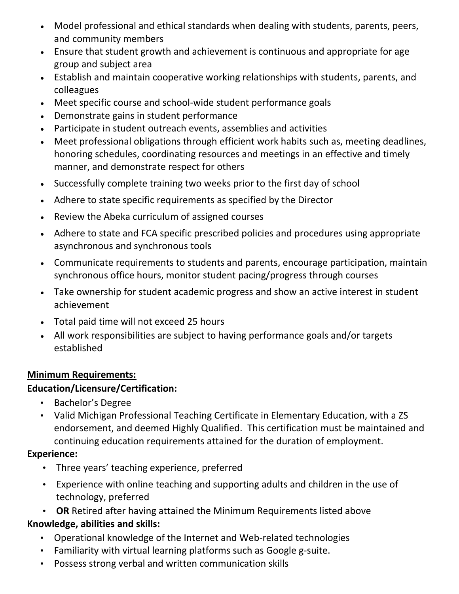- Model professional and ethical standards when dealing with students, parents, peers, and community members
- Ensure that student growth and achievement is continuous and appropriate for age group and subject area
- Establish and maintain cooperative working relationships with students, parents, and colleagues
- Meet specific course and school-wide student performance goals
- Demonstrate gains in student performance
- Participate in student outreach events, assemblies and activities
- Meet professional obligations through efficient work habits such as, meeting deadlines, honoring schedules, coordinating resources and meetings in an effective and timely manner, and demonstrate respect for others
- Successfully complete training two weeks prior to the first day of school
- Adhere to state specific requirements as specified by the Director
- Review the Abeka curriculum of assigned courses
- Adhere to state and FCA specific prescribed policies and procedures using appropriate asynchronous and synchronous tools
- Communicate requirements to students and parents, encourage participation, maintain synchronous office hours, monitor student pacing/progress through courses
- Take ownership for student academic progress and show an active interest in student achievement
- Total paid time will not exceed 25 hours
- All work responsibilities are subject to having performance goals and/or targets established

#### **Minimum Requirements:**

#### **Education/Licensure/Certification:**

- Bachelor's Degree
- Valid Michigan Professional Teaching Certificate in Elementary Education, with a ZS endorsement, and deemed Highly Qualified. This certification must be maintained and continuing education requirements attained for the duration of employment.

#### **Experience:**

- Three years' teaching experience, preferred
- Experience with online teaching and supporting adults and children in the use of technology, preferred

• **OR** Retired after having attained the Minimum Requirements listed above

#### **Knowledge, abilities and skills:**

- Operational knowledge of the Internet and Web-related technologies
- Familiarity with virtual learning platforms such as Google g-suite.
- Possess strong verbal and written communication skills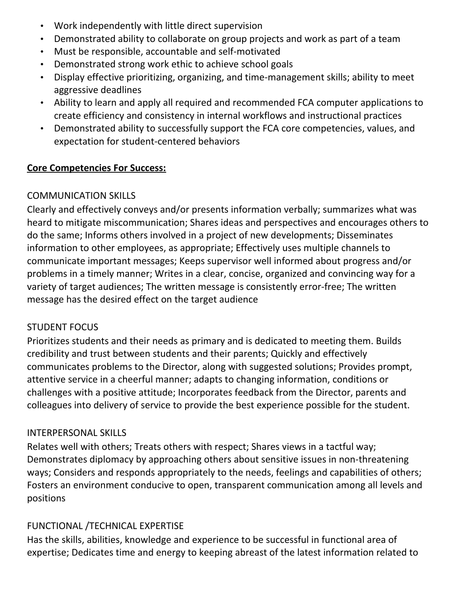- Work independently with little direct supervision
- Demonstrated ability to collaborate on group projects and work as part of a team
- Must be responsible, accountable and self-motivated
- Demonstrated strong work ethic to achieve school goals
- Display effective prioritizing, organizing, and time-management skills; ability to meet aggressive deadlines
- Ability to learn and apply all required and recommended FCA computer applications to create efficiency and consistency in internal workflows and instructional practices
- Demonstrated ability to successfully support the FCA core competencies, values, and expectation for student-centered behaviors

#### **Core Competencies For Success:**

#### COMMUNICATION SKILLS

Clearly and effectively conveys and/or presents information verbally; summarizes what was heard to mitigate miscommunication; Shares ideas and perspectives and encourages others to do the same; Informs others involved in a project of new developments; Disseminates information to other employees, as appropriate; Effectively uses multiple channels to communicate important messages; Keeps supervisor well informed about progress and/or problems in a timely manner; Writes in a clear, concise, organized and convincing way for a variety of target audiences; The written message is consistently error-free; The written message has the desired effect on the target audience

#### STUDENT FOCUS

Prioritizes students and their needs as primary and is dedicated to meeting them. Builds credibility and trust between students and their parents; Quickly and effectively communicates problems to the Director, along with suggested solutions; Provides prompt, attentive service in a cheerful manner; adapts to changing information, conditions or challenges with a positive attitude; Incorporates feedback from the Director, parents and colleagues into delivery of service to provide the best experience possible for the student.

#### INTERPERSONAL SKILLS

Relates well with others; Treats others with respect; Shares views in a tactful way; Demonstrates diplomacy by approaching others about sensitive issues in non-threatening ways; Considers and responds appropriately to the needs, feelings and capabilities of others; Fosters an environment conducive to open, transparent communication among all levels and positions

#### FUNCTIONAL /TECHNICAL EXPERTISE

Has the skills, abilities, knowledge and experience to be successful in functional area of expertise; Dedicates time and energy to keeping abreast of the latest information related to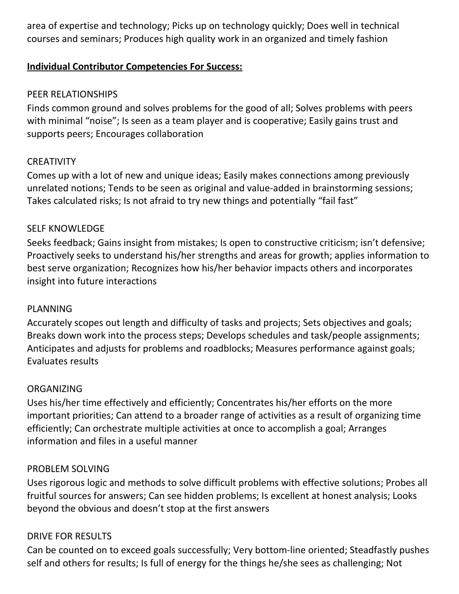area of expertise and technology; Picks up on technology quickly; Does well in technical courses and seminars; Produces high quality work in an organized and timely fashion

## **Individual Contributor Competencies For Success:**

#### PEER RELATIONSHIPS

Finds common ground and solves problems for the good of all; Solves problems with peers with minimal "noise"; Is seen as a team player and is cooperative; Easily gains trust and supports peers; Encourages collaboration

#### **CREATIVITY**

Comes up with a lot of new and unique ideas; Easily makes connections among previously unrelated notions; Tends to be seen as original and value-added in brainstorming sessions; Takes calculated risks; Is not afraid to try new things and potentially "fail fast"

#### SELF KNOWLEDGE

Seeks feedback; Gains insight from mistakes; Is open to constructive criticism; isn't defensive; Proactively seeks to understand his/her strengths and areas for growth; applies information to best serve organization; Recognizes how his/her behavior impacts others and incorporates insight into future interactions

#### PLANNING

Accurately scopes out length and difficulty of tasks and projects; Sets objectives and goals; Breaks down work into the process steps; Develops schedules and task/people assignments; Anticipates and adjusts for problems and roadblocks; Measures performance against goals; Evaluates results

#### ORGANIZING

Uses his/her time effectively and efficiently; Concentrates his/her efforts on the more important priorities; Can attend to a broader range of activities as a result of organizing time efficiently; Can orchestrate multiple activities at once to accomplish a goal; Arranges information and files in a useful manner

#### PROBLEM SOLVING

Uses rigorous logic and methods to solve difficult problems with effective solutions; Probes all fruitful sources for answers; Can see hidden problems; Is excellent at honest analysis; Looks beyond the obvious and doesn't stop at the first answers

#### DRIVE FOR RESULTS

Can be counted on to exceed goals successfully; Very bottom-line oriented; Steadfastly pushes self and others for results; Is full of energy for the things he/she sees as challenging; Not